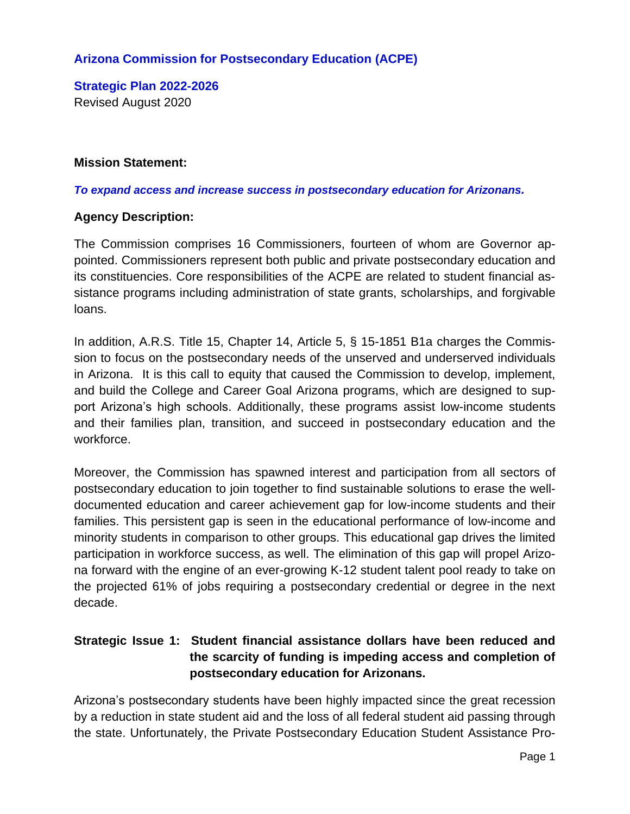# **Arizona Commission for Postsecondary Education (ACPE)**

**Strategic Plan 2022-2026** Revised August 2020

#### **Mission Statement:**

#### *To expand access and increase success in postsecondary education for Arizonans.*

#### **Agency Description:**

The Commission comprises 16 Commissioners, fourteen of whom are Governor appointed. Commissioners represent both public and private postsecondary education and its constituencies. Core responsibilities of the ACPE are related to student financial assistance programs including administration of state grants, scholarships, and forgivable loans.

In addition, A.R.S. Title 15, Chapter 14, Article 5, § 15-1851 B1a charges the Commission to focus on the postsecondary needs of the unserved and underserved individuals in Arizona. It is this call to equity that caused the Commission to develop, implement, and build the College and Career Goal Arizona programs, which are designed to support Arizona's high schools. Additionally, these programs assist low-income students and their families plan, transition, and succeed in postsecondary education and the workforce.

Moreover, the Commission has spawned interest and participation from all sectors of postsecondary education to join together to find sustainable solutions to erase the welldocumented education and career achievement gap for low-income students and their families. This persistent gap is seen in the educational performance of low-income and minority students in comparison to other groups. This educational gap drives the limited participation in workforce success, as well. The elimination of this gap will propel Arizona forward with the engine of an ever-growing K-12 student talent pool ready to take on the projected 61% of jobs requiring a postsecondary credential or degree in the next decade.

# **Strategic Issue 1: Student financial assistance dollars have been reduced and the scarcity of funding is impeding access and completion of postsecondary education for Arizonans.**

Arizona's postsecondary students have been highly impacted since the great recession by a reduction in state student aid and the loss of all federal student aid passing through the state. Unfortunately, the Private Postsecondary Education Student Assistance Pro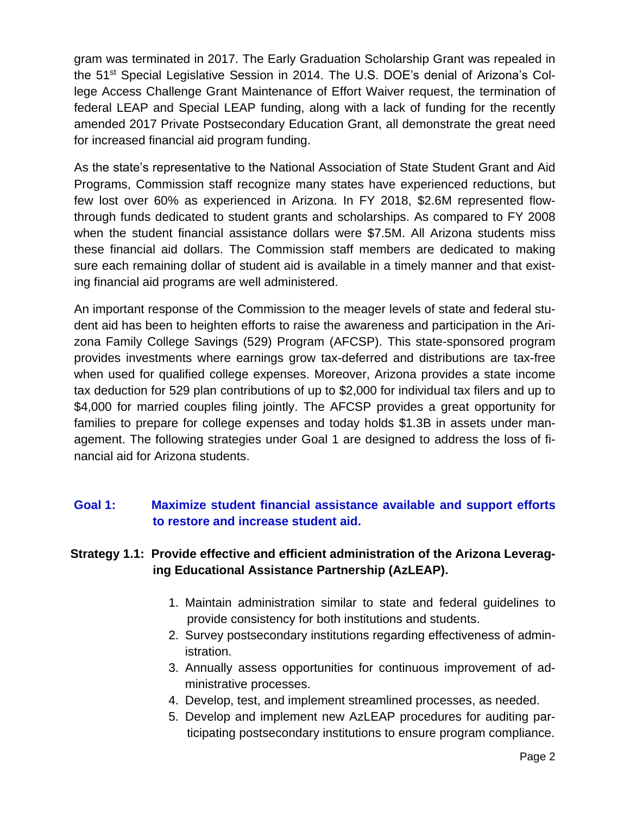gram was terminated in 2017. The Early Graduation Scholarship Grant was repealed in the 51st Special Legislative Session in 2014. The U.S. DOE's denial of Arizona's College Access Challenge Grant Maintenance of Effort Waiver request, the termination of federal LEAP and Special LEAP funding, along with a lack of funding for the recently amended 2017 Private Postsecondary Education Grant, all demonstrate the great need for increased financial aid program funding.

As the state's representative to the National Association of State Student Grant and Aid Programs, Commission staff recognize many states have experienced reductions, but few lost over 60% as experienced in Arizona. In FY 2018, \$2.6M represented flowthrough funds dedicated to student grants and scholarships. As compared to FY 2008 when the student financial assistance dollars were \$7.5M. All Arizona students miss these financial aid dollars. The Commission staff members are dedicated to making sure each remaining dollar of student aid is available in a timely manner and that existing financial aid programs are well administered.

An important response of the Commission to the meager levels of state and federal student aid has been to heighten efforts to raise the awareness and participation in the Arizona Family College Savings (529) Program (AFCSP). This state-sponsored program provides investments where earnings grow tax-deferred and distributions are tax-free when used for qualified college expenses. Moreover, Arizona provides a state income tax deduction for 529 plan contributions of up to \$2,000 for individual tax filers and up to \$4,000 for married couples filing jointly. The AFCSP provides a great opportunity for families to prepare for college expenses and today holds \$1.3B in assets under management. The following strategies under Goal 1 are designed to address the loss of financial aid for Arizona students.

# **Goal 1: Maximize student financial assistance available and support efforts to restore and increase student aid.**

# **Strategy 1.1: Provide effective and efficient administration of the Arizona Leveraging Educational Assistance Partnership (AzLEAP).**

- 1. Maintain administration similar to state and federal guidelines to provide consistency for both institutions and students.
- 2. Survey postsecondary institutions regarding effectiveness of administration.
- 3. Annually assess opportunities for continuous improvement of administrative processes.
- 4. Develop, test, and implement streamlined processes, as needed.
- 5. Develop and implement new AzLEAP procedures for auditing participating postsecondary institutions to ensure program compliance.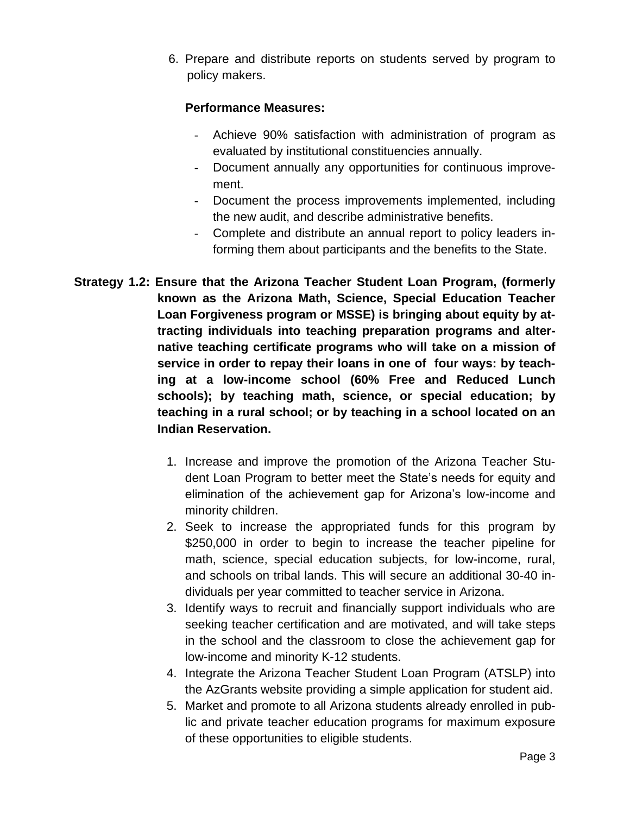6. Prepare and distribute reports on students served by program to policy makers.

- Achieve 90% satisfaction with administration of program as evaluated by institutional constituencies annually.
- Document annually any opportunities for continuous improvement.
- Document the process improvements implemented, including the new audit, and describe administrative benefits.
- Complete and distribute an annual report to policy leaders informing them about participants and the benefits to the State.
- **Strategy 1.2: Ensure that the Arizona Teacher Student Loan Program, (formerly known as the Arizona Math, Science, Special Education Teacher Loan Forgiveness program or MSSE) is bringing about equity by attracting individuals into teaching preparation programs and alternative teaching certificate programs who will take on a mission of service in order to repay their loans in one of four ways: by teaching at a low-income school (60% Free and Reduced Lunch schools); by teaching math, science, or special education; by teaching in a rural school; or by teaching in a school located on an Indian Reservation.**
	- 1. Increase and improve the promotion of the Arizona Teacher Student Loan Program to better meet the State's needs for equity and elimination of the achievement gap for Arizona's low-income and minority children.
	- 2. Seek to increase the appropriated funds for this program by \$250,000 in order to begin to increase the teacher pipeline for math, science, special education subjects, for low-income, rural, and schools on tribal lands. This will secure an additional 30-40 individuals per year committed to teacher service in Arizona.
	- 3. Identify ways to recruit and financially support individuals who are seeking teacher certification and are motivated, and will take steps in the school and the classroom to close the achievement gap for low-income and minority K-12 students.
	- 4. Integrate the Arizona Teacher Student Loan Program (ATSLP) into the AzGrants website providing a simple application for student aid.
	- 5. Market and promote to all Arizona students already enrolled in public and private teacher education programs for maximum exposure of these opportunities to eligible students.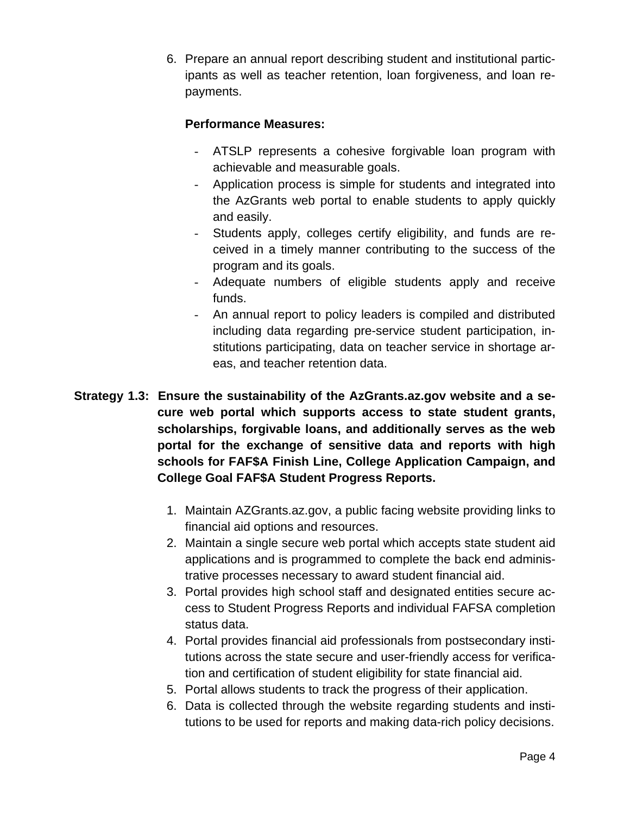6. Prepare an annual report describing student and institutional participants as well as teacher retention, loan forgiveness, and loan repayments.

- ATSLP represents a cohesive forgivable loan program with achievable and measurable goals.
- Application process is simple for students and integrated into the AzGrants web portal to enable students to apply quickly and easily.
- Students apply, colleges certify eligibility, and funds are received in a timely manner contributing to the success of the program and its goals.
- Adequate numbers of eligible students apply and receive funds.
- An annual report to policy leaders is compiled and distributed including data regarding pre-service student participation, institutions participating, data on teacher service in shortage areas, and teacher retention data.
- **Strategy 1.3: Ensure the sustainability of the AzGrants.az.gov website and a secure web portal which supports access to state student grants, scholarships, forgivable loans, and additionally serves as the web portal for the exchange of sensitive data and reports with high schools for FAF\$A Finish Line, College Application Campaign, and College Goal FAF\$A Student Progress Reports.**
	- 1. Maintain AZGrants.az.gov, a public facing website providing links to financial aid options and resources.
	- 2. Maintain a single secure web portal which accepts state student aid applications and is programmed to complete the back end administrative processes necessary to award student financial aid.
	- 3. Portal provides high school staff and designated entities secure access to Student Progress Reports and individual FAFSA completion status data.
	- 4. Portal provides financial aid professionals from postsecondary institutions across the state secure and user-friendly access for verification and certification of student eligibility for state financial aid.
	- 5. Portal allows students to track the progress of their application.
	- 6. Data is collected through the website regarding students and institutions to be used for reports and making data-rich policy decisions.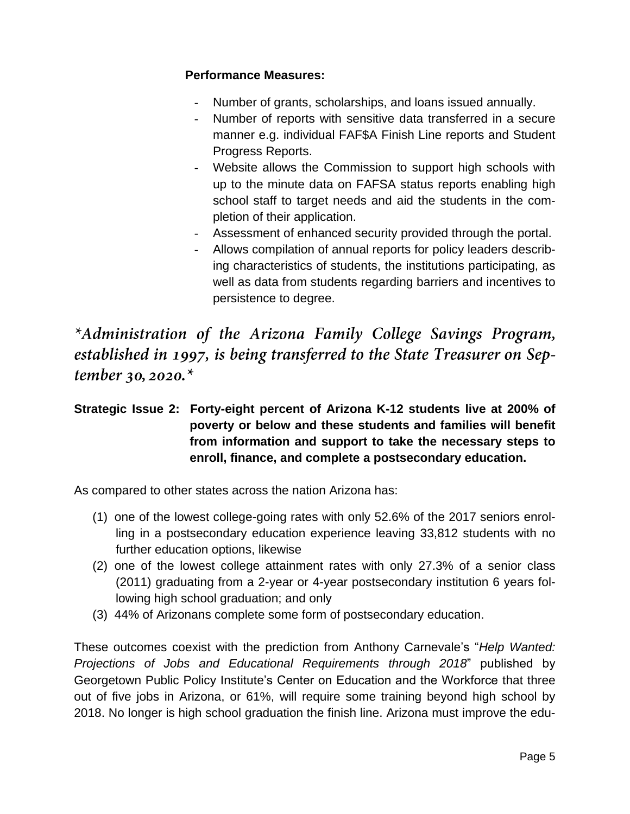# **Performance Measures:**

- Number of grants, scholarships, and loans issued annually.
- Number of reports with sensitive data transferred in a secure manner e.g. individual FAF\$A Finish Line reports and Student Progress Reports.
- Website allows the Commission to support high schools with up to the minute data on FAFSA status reports enabling high school staff to target needs and aid the students in the completion of their application.
- Assessment of enhanced security provided through the portal.
- Allows compilation of annual reports for policy leaders describing characteristics of students, the institutions participating, as well as data from students regarding barriers and incentives to persistence to degree.

\*Administration of the Arizona Family College Savings Program, established in 1997, is being transferred to the State Treasurer on September 30, 2020. $*$ 

# **Strategic Issue 2: Forty-eight percent of Arizona K-12 students live at 200% of poverty or below and these students and families will benefit from information and support to take the necessary steps to enroll, finance, and complete a postsecondary education.**

As compared to other states across the nation Arizona has:

- (1) one of the lowest college-going rates with only 52.6% of the 2017 seniors enrolling in a postsecondary education experience leaving 33,812 students with no further education options, likewise
- (2) one of the lowest college attainment rates with only 27.3% of a senior class (2011) graduating from a 2-year or 4-year postsecondary institution 6 years following high school graduation; and only
- (3) 44% of Arizonans complete some form of postsecondary education.

These outcomes coexist with the prediction from Anthony Carnevale's "*Help Wanted: Projections of Jobs and Educational Requirements through 2018*" published by Georgetown Public Policy Institute's Center on Education and the Workforce that three out of five jobs in Arizona, or 61%, will require some training beyond high school by 2018. No longer is high school graduation the finish line. Arizona must improve the edu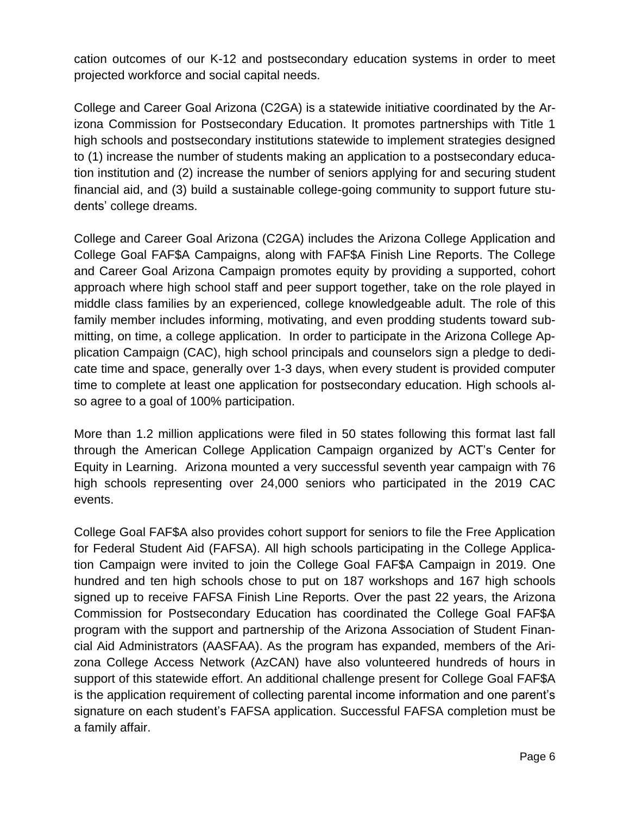cation outcomes of our K-12 and postsecondary education systems in order to meet projected workforce and social capital needs.

College and Career Goal Arizona (C2GA) is a statewide initiative coordinated by the Arizona Commission for Postsecondary Education. It promotes partnerships with Title 1 high schools and postsecondary institutions statewide to implement strategies designed to (1) increase the number of students making an application to a postsecondary education institution and (2) increase the number of seniors applying for and securing student financial aid, and (3) build a sustainable college-going community to support future students' college dreams.

College and Career Goal Arizona (C2GA) includes the Arizona College Application and College Goal FAF\$A Campaigns, along with FAF\$A Finish Line Reports. The College and Career Goal Arizona Campaign promotes equity by providing a supported, cohort approach where high school staff and peer support together, take on the role played in middle class families by an experienced, college knowledgeable adult. The role of this family member includes informing, motivating, and even prodding students toward submitting, on time, a college application. In order to participate in the Arizona College Application Campaign (CAC), high school principals and counselors sign a pledge to dedicate time and space, generally over 1-3 days, when every student is provided computer time to complete at least one application for postsecondary education. High schools also agree to a goal of 100% participation.

More than 1.2 million applications were filed in 50 states following this format last fall through the American College Application Campaign organized by ACT's Center for Equity in Learning. Arizona mounted a very successful seventh year campaign with 76 high schools representing over 24,000 seniors who participated in the 2019 CAC events.

College Goal FAF\$A also provides cohort support for seniors to file the Free Application for Federal Student Aid (FAFSA). All high schools participating in the College Application Campaign were invited to join the College Goal FAF\$A Campaign in 2019. One hundred and ten high schools chose to put on 187 workshops and 167 high schools signed up to receive FAFSA Finish Line Reports. Over the past 22 years, the Arizona Commission for Postsecondary Education has coordinated the College Goal FAF\$A program with the support and partnership of the Arizona Association of Student Financial Aid Administrators (AASFAA). As the program has expanded, members of the Arizona College Access Network (AzCAN) have also volunteered hundreds of hours in support of this statewide effort. An additional challenge present for College Goal FAF\$A is the application requirement of collecting parental income information and one parent's signature on each student's FAFSA application. Successful FAFSA completion must be a family affair.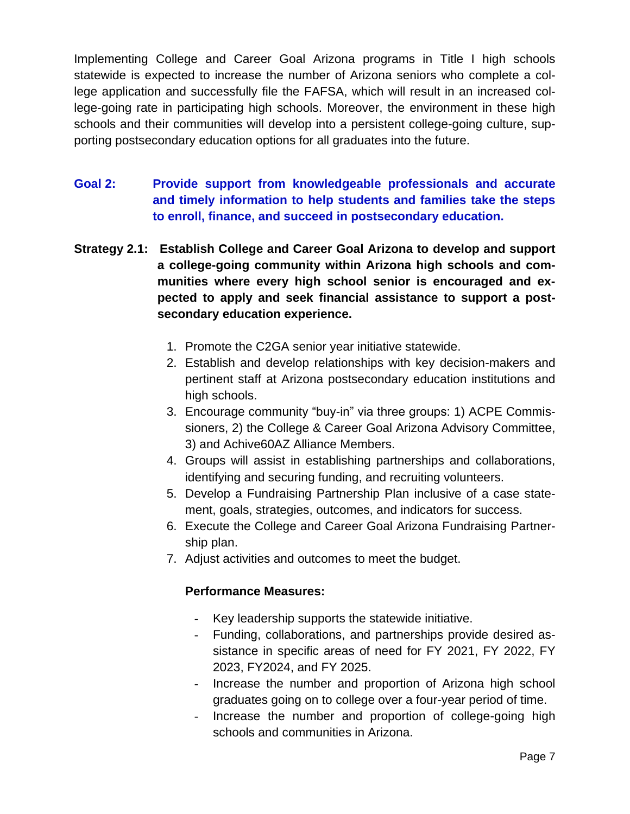Implementing College and Career Goal Arizona programs in Title I high schools statewide is expected to increase the number of Arizona seniors who complete a college application and successfully file the FAFSA, which will result in an increased college-going rate in participating high schools. Moreover, the environment in these high schools and their communities will develop into a persistent college-going culture, supporting postsecondary education options for all graduates into the future.

- **Goal 2: Provide support from knowledgeable professionals and accurate and timely information to help students and families take the steps to enroll, finance, and succeed in postsecondary education.**
- **Strategy 2.1: Establish College and Career Goal Arizona to develop and support a college-going community within Arizona high schools and communities where every high school senior is encouraged and expected to apply and seek financial assistance to support a postsecondary education experience.**
	- 1. Promote the C2GA senior year initiative statewide.
	- 2. Establish and develop relationships with key decision-makers and pertinent staff at Arizona postsecondary education institutions and high schools.
	- 3. Encourage community "buy-in" via three groups: 1) ACPE Commissioners, 2) the College & Career Goal Arizona Advisory Committee, 3) and Achive60AZ Alliance Members.
	- 4. Groups will assist in establishing partnerships and collaborations, identifying and securing funding, and recruiting volunteers.
	- 5. Develop a Fundraising Partnership Plan inclusive of a case statement, goals, strategies, outcomes, and indicators for success.
	- 6. Execute the College and Career Goal Arizona Fundraising Partnership plan.
	- 7. Adjust activities and outcomes to meet the budget.

- Key leadership supports the statewide initiative.
- Funding, collaborations, and partnerships provide desired assistance in specific areas of need for FY 2021, FY 2022, FY 2023, FY2024, and FY 2025.
- Increase the number and proportion of Arizona high school graduates going on to college over a four-year period of time.
- Increase the number and proportion of college-going high schools and communities in Arizona.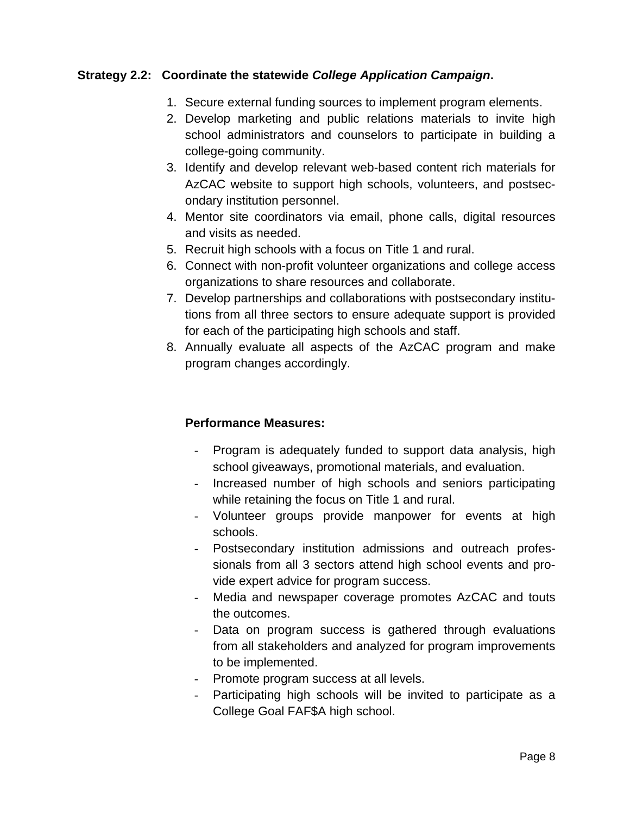#### **Strategy 2.2: Coordinate the statewide** *College Application Campaign***.**

- 1. Secure external funding sources to implement program elements.
- 2. Develop marketing and public relations materials to invite high school administrators and counselors to participate in building a college-going community.
- 3. Identify and develop relevant web-based content rich materials for AzCAC website to support high schools, volunteers, and postsecondary institution personnel.
- 4. Mentor site coordinators via email, phone calls, digital resources and visits as needed.
- 5. Recruit high schools with a focus on Title 1 and rural.
- 6. Connect with non-profit volunteer organizations and college access organizations to share resources and collaborate.
- 7. Develop partnerships and collaborations with postsecondary institutions from all three sectors to ensure adequate support is provided for each of the participating high schools and staff.
- 8. Annually evaluate all aspects of the AzCAC program and make program changes accordingly.

- Program is adequately funded to support data analysis, high school giveaways, promotional materials, and evaluation.
- Increased number of high schools and seniors participating while retaining the focus on Title 1 and rural.
- Volunteer groups provide manpower for events at high schools.
- Postsecondary institution admissions and outreach professionals from all 3 sectors attend high school events and provide expert advice for program success.
- Media and newspaper coverage promotes AzCAC and touts the outcomes.
- Data on program success is gathered through evaluations from all stakeholders and analyzed for program improvements to be implemented.
- Promote program success at all levels.
- Participating high schools will be invited to participate as a College Goal FAF\$A high school.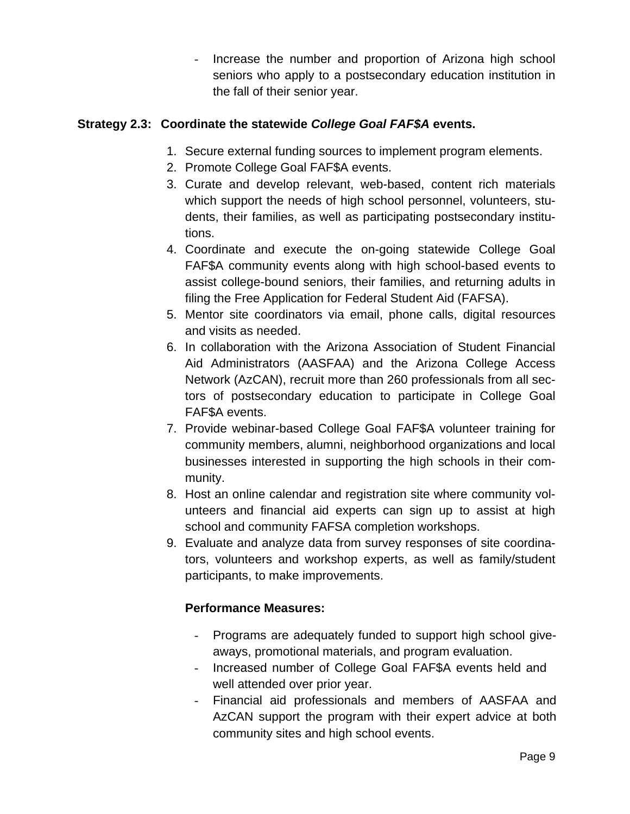- Increase the number and proportion of Arizona high school seniors who apply to a postsecondary education institution in the fall of their senior year.

# **Strategy 2.3: Coordinate the statewide** *College Goal FAF\$A* **events.**

- 1. Secure external funding sources to implement program elements.
- 2. Promote College Goal FAF\$A events.
- 3. Curate and develop relevant, web-based, content rich materials which support the needs of high school personnel, volunteers, students, their families, as well as participating postsecondary institutions.
- 4. Coordinate and execute the on-going statewide College Goal FAF\$A community events along with high school-based events to assist college-bound seniors, their families, and returning adults in filing the Free Application for Federal Student Aid (FAFSA).
- 5. Mentor site coordinators via email, phone calls, digital resources and visits as needed.
- 6. In collaboration with the Arizona Association of Student Financial Aid Administrators (AASFAA) and the Arizona College Access Network (AzCAN), recruit more than 260 professionals from all sectors of postsecondary education to participate in College Goal FAF\$A events.
- 7. Provide webinar-based College Goal FAF\$A volunteer training for community members, alumni, neighborhood organizations and local businesses interested in supporting the high schools in their community.
- 8. Host an online calendar and registration site where community volunteers and financial aid experts can sign up to assist at high school and community FAFSA completion workshops.
- 9. Evaluate and analyze data from survey responses of site coordinators, volunteers and workshop experts, as well as family/student participants, to make improvements.

- Programs are adequately funded to support high school giveaways, promotional materials, and program evaluation.
- Increased number of College Goal FAF\$A events held and well attended over prior year.
- Financial aid professionals and members of AASFAA and AzCAN support the program with their expert advice at both community sites and high school events.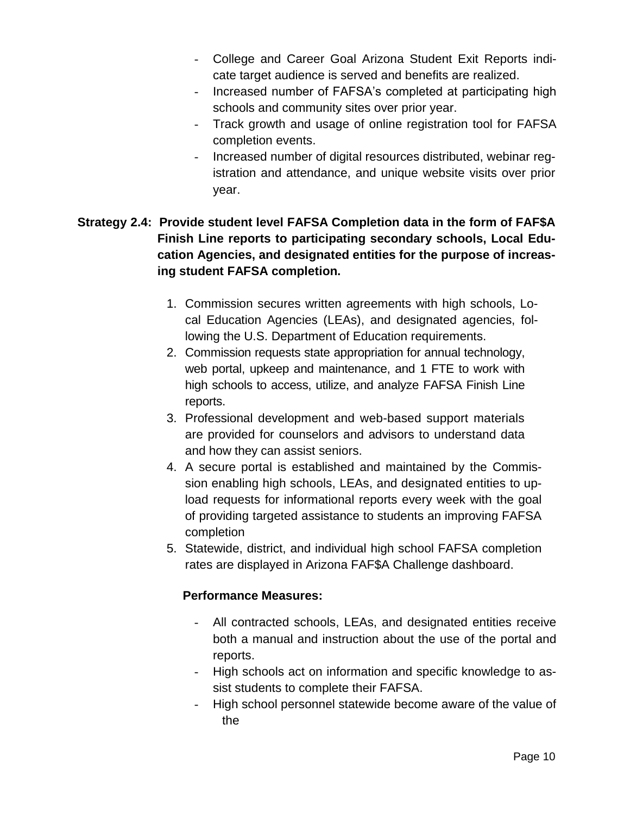- College and Career Goal Arizona Student Exit Reports indicate target audience is served and benefits are realized.
- Increased number of FAFSA's completed at participating high schools and community sites over prior year.
- Track growth and usage of online registration tool for FAFSA completion events.
- Increased number of digital resources distributed, webinar registration and attendance, and unique website visits over prior year.

# **Strategy 2.4: Provide student level FAFSA Completion data in the form of FAF\$A Finish Line reports to participating secondary schools, Local Education Agencies, and designated entities for the purpose of increasing student FAFSA completion.**

- 1. Commission secures written agreements with high schools, Local Education Agencies (LEAs), and designated agencies, following the U.S. Department of Education requirements.
- 2. Commission requests state appropriation for annual technology, web portal, upkeep and maintenance, and 1 FTE to work with high schools to access, utilize, and analyze FAFSA Finish Line reports.
- 3. Professional development and web-based support materials are provided for counselors and advisors to understand data and how they can assist seniors.
- 4. A secure portal is established and maintained by the Commission enabling high schools, LEAs, and designated entities to upload requests for informational reports every week with the goal of providing targeted assistance to students an improving FAFSA completion
- 5. Statewide, district, and individual high school FAFSA completion rates are displayed in Arizona FAF\$A Challenge dashboard.

- All contracted schools, LEAs, and designated entities receive both a manual and instruction about the use of the portal and reports.
- High schools act on information and specific knowledge to assist students to complete their FAFSA.
- High school personnel statewide become aware of the value of the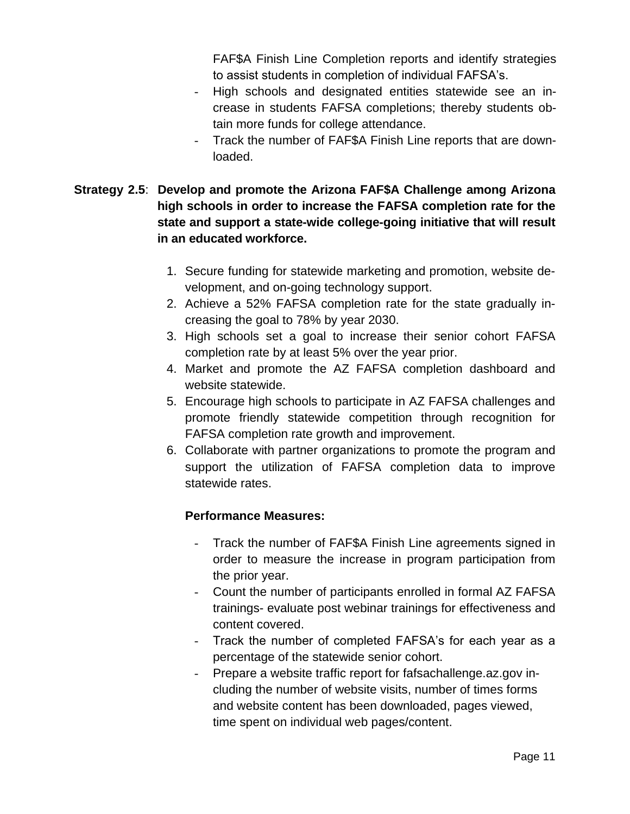FAF\$A Finish Line Completion reports and identify strategies to assist students in completion of individual FAFSA's.

- High schools and designated entities statewide see an increase in students FAFSA completions; thereby students obtain more funds for college attendance.
- Track the number of FAF\$A Finish Line reports that are downloaded.
- **Strategy 2.5**: **Develop and promote the Arizona FAF\$A Challenge among Arizona high schools in order to increase the FAFSA completion rate for the state and support a state-wide college-going initiative that will result in an educated workforce.**
	- 1. Secure funding for statewide marketing and promotion, website development, and on-going technology support.
	- 2. Achieve a 52% FAFSA completion rate for the state gradually increasing the goal to 78% by year 2030.
	- 3. High schools set a goal to increase their senior cohort FAFSA completion rate by at least 5% over the year prior.
	- 4. Market and promote the AZ FAFSA completion dashboard and website statewide.
	- 5. Encourage high schools to participate in AZ FAFSA challenges and promote friendly statewide competition through recognition for FAFSA completion rate growth and improvement.
	- 6. Collaborate with partner organizations to promote the program and support the utilization of FAFSA completion data to improve statewide rates.

- Track the number of FAF\$A Finish Line agreements signed in order to measure the increase in program participation from the prior year.
- Count the number of participants enrolled in formal AZ FAFSA trainings- evaluate post webinar trainings for effectiveness and content covered.
- Track the number of completed FAFSA's for each year as a percentage of the statewide senior cohort.
- Prepare a website traffic report for fafsachallenge.az.gov including the number of website visits, number of times forms and website content has been downloaded, pages viewed, time spent on individual web pages/content.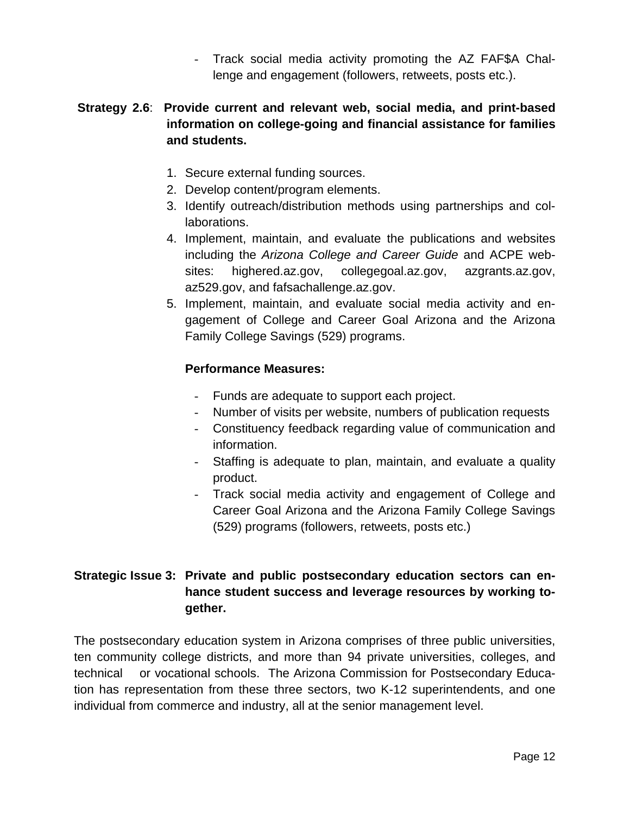- Track social media activity promoting the AZ FAF\$A Challenge and engagement (followers, retweets, posts etc.).

# **Strategy 2.6**: **Provide current and relevant web, social media, and print-based information on college-going and financial assistance for families and students.**

- 1. Secure external funding sources.
- 2. Develop content/program elements.
- 3. Identify outreach/distribution methods using partnerships and collaborations.
- 4. Implement, maintain, and evaluate the publications and websites including the *Arizona College and Career Guide* and ACPE websites: highered.az.gov, collegegoal.az.gov, azgrants.az.gov, az529.gov, and fafsachallenge.az.gov.
- 5. Implement, maintain, and evaluate social media activity and engagement of College and Career Goal Arizona and the Arizona Family College Savings (529) programs.

# **Performance Measures:**

- Funds are adequate to support each project.
- Number of visits per website, numbers of publication requests
- Constituency feedback regarding value of communication and information.
- Staffing is adequate to plan, maintain, and evaluate a quality product.
- Track social media activity and engagement of College and Career Goal Arizona and the Arizona Family College Savings (529) programs (followers, retweets, posts etc.)

# **Strategic Issue 3: Private and public postsecondary education sectors can enhance student success and leverage resources by working together.**

 The postsecondary education system in Arizona comprises of three public universities, ten community college districts, and more than 94 private universities, colleges, and technical or vocational schools. The Arizona Commission for Postsecondary Education has representation from these three sectors, two K-12 superintendents, and one individual from commerce and industry, all at the senior management level.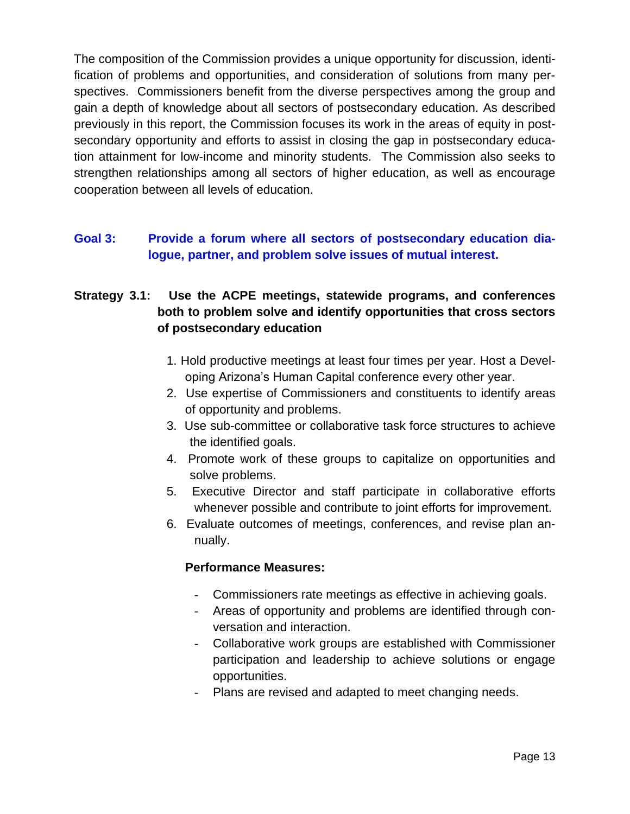The composition of the Commission provides a unique opportunity for discussion, identification of problems and opportunities, and consideration of solutions from many perspectives. Commissioners benefit from the diverse perspectives among the group and gain a depth of knowledge about all sectors of postsecondary education. As described previously in this report, the Commission focuses its work in the areas of equity in postsecondary opportunity and efforts to assist in closing the gap in postsecondary education attainment for low-income and minority students. The Commission also seeks to strengthen relationships among all sectors of higher education, as well as encourage cooperation between all levels of education.

# **Goal 3: Provide a forum where all sectors of postsecondary education dialogue, partner, and problem solve issues of mutual interest.**

# **Strategy 3.1: Use the ACPE meetings, statewide programs, and conferences both to problem solve and identify opportunities that cross sectors of postsecondary education**

- 1. Hold productive meetings at least four times per year. Host a Developing Arizona's Human Capital conference every other year.
- 2. Use expertise of Commissioners and constituents to identify areas of opportunity and problems.
- 3. Use sub-committee or collaborative task force structures to achieve the identified goals.
- 4. Promote work of these groups to capitalize on opportunities and solve problems.
- 5. Executive Director and staff participate in collaborative efforts whenever possible and contribute to joint efforts for improvement.
- 6. Evaluate outcomes of meetings, conferences, and revise plan annually.

- Commissioners rate meetings as effective in achieving goals.
- Areas of opportunity and problems are identified through conversation and interaction.
- Collaborative work groups are established with Commissioner participation and leadership to achieve solutions or engage opportunities.
- Plans are revised and adapted to meet changing needs.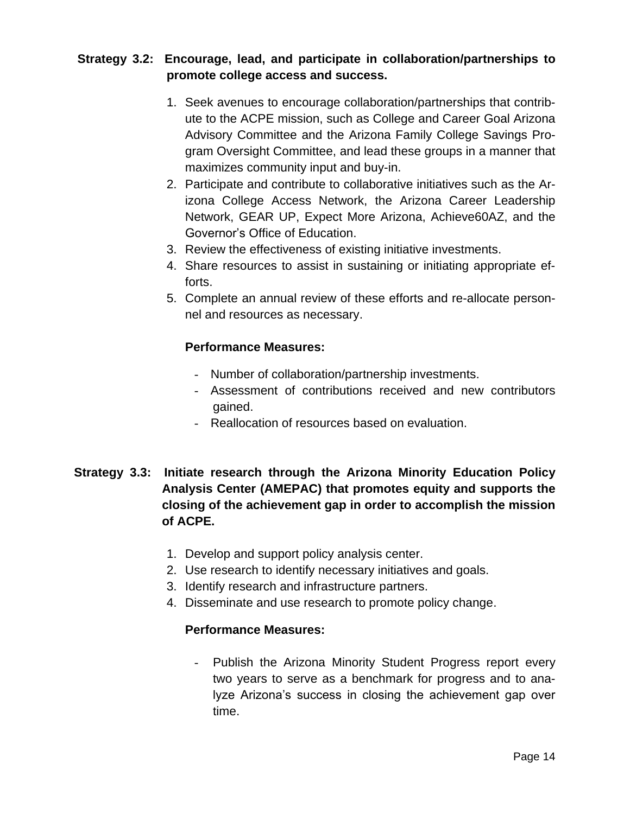# **Strategy 3.2: Encourage, lead, and participate in collaboration/partnerships to promote college access and success.**

- 1. Seek avenues to encourage collaboration/partnerships that contribute to the ACPE mission, such as College and Career Goal Arizona Advisory Committee and the Arizona Family College Savings Program Oversight Committee, and lead these groups in a manner that maximizes community input and buy-in.
- 2. Participate and contribute to collaborative initiatives such as the Arizona College Access Network, the Arizona Career Leadership Network, GEAR UP, Expect More Arizona, Achieve60AZ, and the Governor's Office of Education.
- 3. Review the effectiveness of existing initiative investments.
- 4. Share resources to assist in sustaining or initiating appropriate efforts.
- 5. Complete an annual review of these efforts and re-allocate personnel and resources as necessary.

# **Performance Measures:**

- Number of collaboration/partnership investments.
- Assessment of contributions received and new contributors gained.
- Reallocation of resources based on evaluation.

# **Strategy 3.3: Initiate research through the Arizona Minority Education Policy Analysis Center (AMEPAC) that promotes equity and supports the closing of the achievement gap in order to accomplish the mission of ACPE.**

- 1. Develop and support policy analysis center.
- 2. Use research to identify necessary initiatives and goals.
- 3. Identify research and infrastructure partners.
- 4. Disseminate and use research to promote policy change.

#### **Performance Measures:**

Publish the Arizona Minority Student Progress report every two years to serve as a benchmark for progress and to analyze Arizona's success in closing the achievement gap over time.